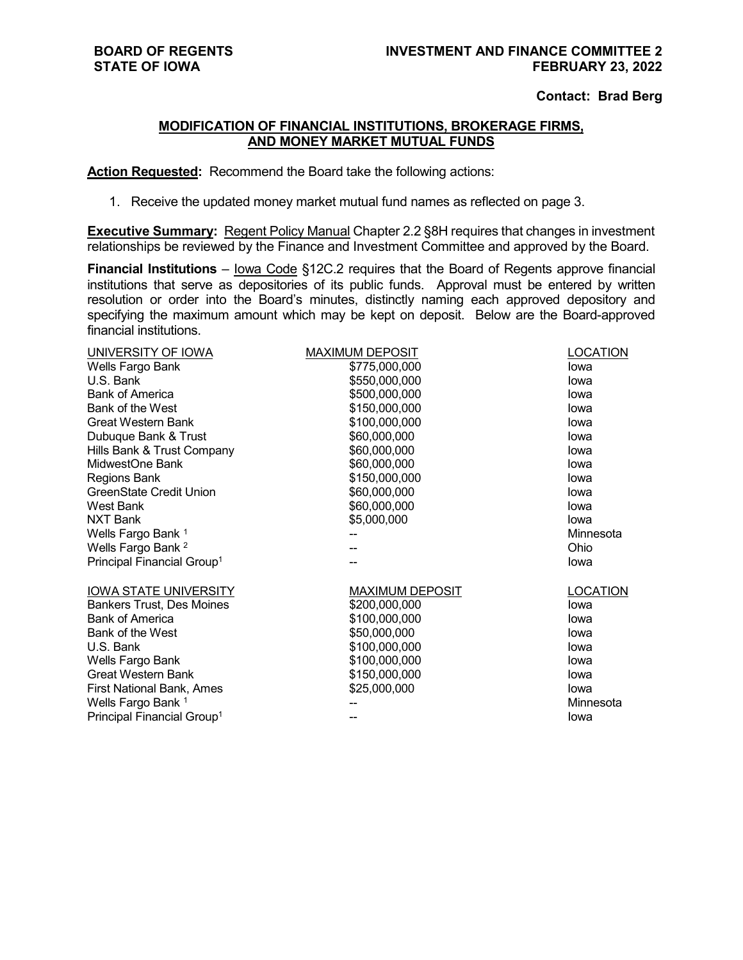## **Contact: Brad Berg**

## **MODIFICATION OF FINANCIAL INSTITUTIONS, BROKERAGE FIRMS, AND MONEY MARKET MUTUAL FUNDS**

**Action Requested:** Recommend the Board take the following actions:

1. Receive the updated money market mutual fund names as reflected on page 3.

**Executive Summary:** Regent Policy Manual Chapter 2.2 §8H requires that changes in investment relationships be reviewed by the Finance and Investment Committee and approved by the Board.

**Financial Institutions** – lowa Code §12C.2 requires that the Board of Regents approve financial institutions that serve as depositories of its public funds. Approval must be entered by written resolution or order into the Board's minutes, distinctly naming each approved depository and specifying the maximum amount which may be kept on deposit. Below are the Board-approved financial institutions.

| UNIVERSITY OF IOWA                     | <b>MAXIMUM DEPOSIT</b> | LOCATION        |
|----------------------------------------|------------------------|-----------------|
| Wells Fargo Bank                       | \$775,000,000          | lowa            |
| U.S. Bank                              | \$550,000,000          | lowa            |
| <b>Bank of America</b>                 | \$500,000,000          | lowa            |
| Bank of the West                       | \$150,000,000          | lowa            |
| Great Western Bank                     | \$100,000,000          | lowa            |
| Dubuque Bank & Trust                   | \$60,000,000           | lowa            |
| Hills Bank & Trust Company             | \$60,000,000           | lowa            |
| MidwestOne Bank                        | \$60,000,000           | lowa            |
| Regions Bank                           | \$150,000,000          | lowa            |
| <b>GreenState Credit Union</b>         | \$60,000,000           | lowa            |
| West Bank                              | \$60,000,000           | lowa            |
| NXT Bank                               | \$5,000,000            | lowa            |
| Wells Fargo Bank 1                     |                        | Minnesota       |
| Wells Fargo Bank <sup>2</sup>          |                        | Ohio            |
| Principal Financial Group <sup>1</sup> |                        | Iowa            |
| <b>IOWA STATE UNIVERSITY</b>           | <b>MAXIMUM DEPOSIT</b> | <b>LOCATION</b> |
| <b>Bankers Trust, Des Moines</b>       | \$200,000,000          | lowa            |
| <b>Bank of America</b>                 | \$100,000,000          | lowa            |
| Bank of the West                       | \$50,000,000           | lowa            |
| U.S. Bank                              | \$100,000,000          | lowa            |
| Wells Fargo Bank                       | \$100,000,000          | lowa            |
| <b>Great Western Bank</b>              | \$150,000,000          | lowa            |
| First National Bank, Ames              | \$25,000,000           | lowa            |
| Wells Fargo Bank 1                     |                        | Minnesota       |
| Principal Financial Group <sup>1</sup> |                        | lowa            |
|                                        |                        |                 |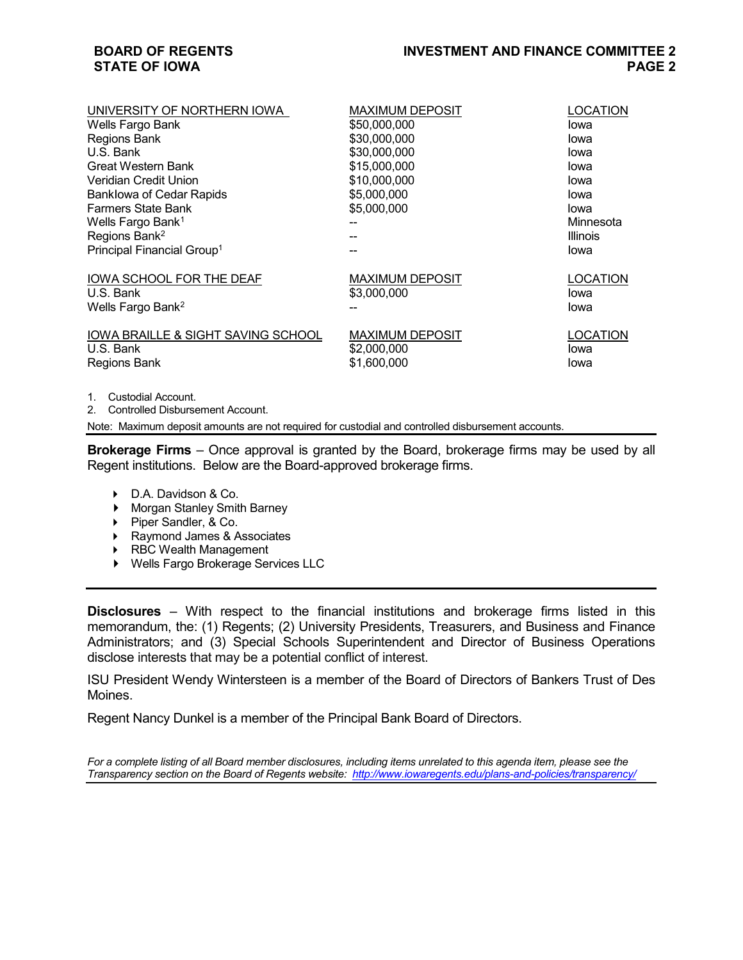## **BOARD OF REGENTS STATE OF IOWA**

| UNIVERSITY OF NORTHERN IOWA                   | <b>MAXIMUM DEPOSIT</b> | LOCATION        |
|-----------------------------------------------|------------------------|-----------------|
| Wells Fargo Bank                              | \$50,000,000           | lowa            |
| Regions Bank                                  | \$30,000,000           | lowa            |
| U.S. Bank                                     | \$30,000,000           | lowa            |
| Great Western Bank                            | \$15,000,000           | lowa            |
| Veridian Credit Union                         | \$10,000,000           | lowa            |
| <b>Banklowa of Cedar Rapids</b>               | \$5,000,000            | lowa            |
| <b>Farmers State Bank</b>                     | \$5,000,000            | lowa            |
| Wells Fargo Bank <sup>1</sup>                 |                        | Minnesota       |
| Regions Bank <sup>2</sup>                     |                        | Illinois        |
| Principal Financial Group <sup>1</sup>        |                        | lowa            |
|                                               |                        |                 |
| IOWA SCHOOL FOR THE DEAF                      | <b>MAXIMUM DEPOSIT</b> | LOCATION        |
| U.S. Bank                                     | \$3,000,000            | lowa            |
| Wells Fargo Bank <sup>2</sup>                 |                        | Iowa            |
| <b>IOWA BRAILLE &amp; SIGHT SAVING SCHOOL</b> | <b>MAXIMUM DEPOSIT</b> | <b>LOCATION</b> |
| U.S. Bank                                     | \$2,000,000            | lowa            |
|                                               | \$1,600,000            |                 |
| Regions Bank                                  |                        | lowa            |

1. Custodial Account.

2. Controlled Disbursement Account.

Note: Maximum deposit amounts are not required for custodial and controlled disbursement accounts.

**Brokerage Firms** – Once approval is granted by the Board, brokerage firms may be used by all Regent institutions. Below are the Board-approved brokerage firms.

- ▶ D.A. Davidson & Co.
- ▶ Morgan Stanley Smith Barney
- Piper Sandler, & Co.
- ▶ Raymond James & Associates
- ▶ RBC Wealth Management
- Wells Fargo Brokerage Services LLC

**Disclosures** – With respect to the financial institutions and brokerage firms listed in this memorandum, the: (1) Regents; (2) University Presidents, Treasurers, and Business and Finance Administrators; and (3) Special Schools Superintendent and Director of Business Operations disclose interests that may be a potential conflict of interest.

ISU President Wendy Wintersteen is a member of the Board of Directors of Bankers Trust of Des Moines.

Regent Nancy Dunkel is a member of the Principal Bank Board of Directors.

*For a complete listing of all Board member disclosures, including items unrelated to this agenda item, please see the Transparency section on the Board of Regents website:<http://www.iowaregents.edu/plans-and-policies/transparency/>*